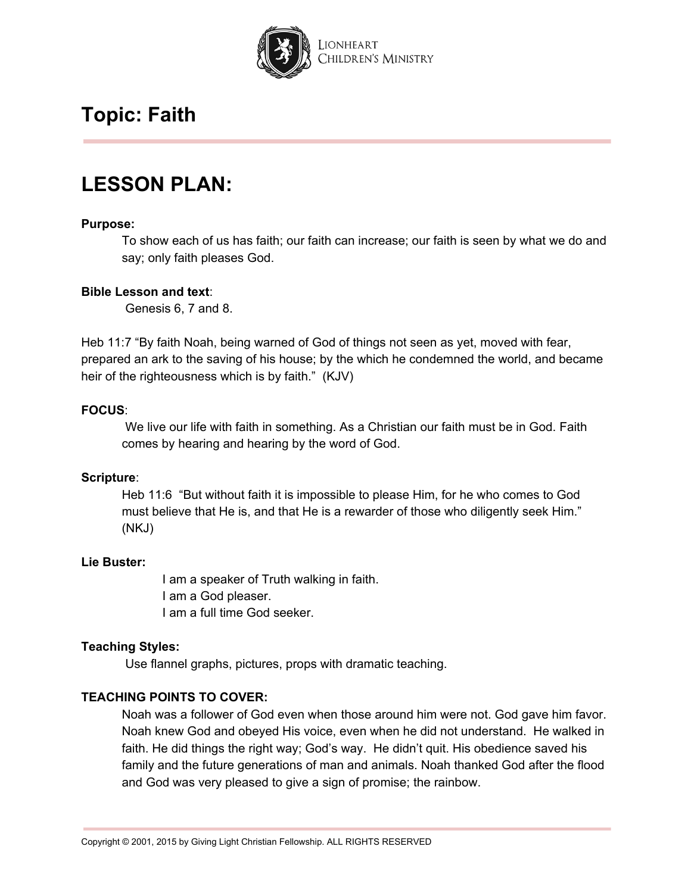

## **LESSON PLAN:**

#### **Purpose:**

To show each of us has faith; our faith can increase; our faith is seen by what we do and say; only faith pleases God.

#### **Bible Lesson and text**:

Genesis 6, 7 and 8.

Heb 11:7 "By faith Noah, being warned of God of things not seen as yet, moved with fear, prepared an ark to the saving of his house; by the which he condemned the world, and became heir of the righteousness which is by faith." (KJV)

#### **FOCUS**:

We live our life with faith in something. As a Christian our faith must be in God. Faith comes by hearing and hearing by the word of God.

#### **Scripture**:

Heb 11:6 "But without faith it is impossible to please Him, for he who comes to God must believe that He is, and that He is a rewarder of those who diligently seek Him." (NKJ)

#### **Lie Buster:**

I am a speaker of Truth walking in faith. I am a God pleaser. I am a full time God seeker.

#### **Teaching Styles:**

Use flannel graphs, pictures, props with dramatic teaching.

#### **TEACHING POINTS TO COVER:**

Noah was a follower of God even when those around him were not. God gave him favor. Noah knew God and obeyed His voice, even when he did not understand. He walked in faith. He did things the right way; God's way. He didn't quit. His obedience saved his family and the future generations of man and animals. Noah thanked God after the flood and God was very pleased to give a sign of promise; the rainbow.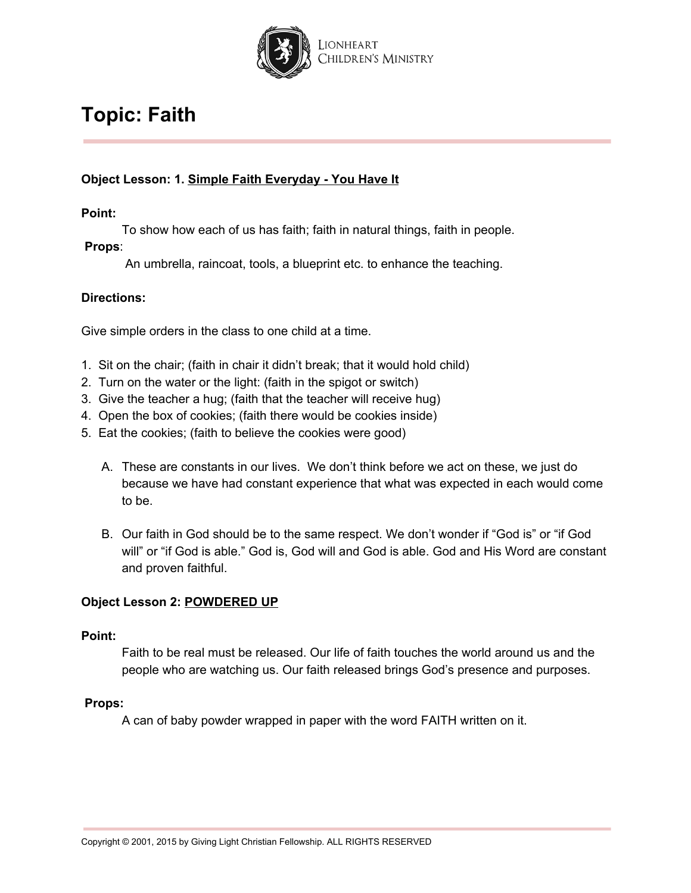

### **Object Lesson: 1. Simple Faith Everyday - You Have It**

**Point:**

To show how each of us has faith; faith in natural things, faith in people.

### **Props**:

An umbrella, raincoat, tools, a blueprint etc. to enhance the teaching.

### **Directions:**

Give simple orders in the class to one child at a time.

- 1. Sit on the chair; (faith in chair it didn't break; that it would hold child)
- 2. Turn on the water or the light: (faith in the spigot or switch)
- 3. Give the teacher a hug; (faith that the teacher will receive hug)
- 4. Open the box of cookies; (faith there would be cookies inside)
- 5. Eat the cookies; (faith to believe the cookies were good)
	- A. These are constants in our lives. We don't think before we act on these, we just do because we have had constant experience that what was expected in each would come to be.
	- B. Our faith in God should be to the same respect. We don't wonder if "God is" or "if God will" or "if God is able." God is, God will and God is able. God and His Word are constant and proven faithful.

### **Object Lesson 2: POWDERED UP**

#### **Point:**

Faith to be real must be released. Our life of faith touches the world around us and the people who are watching us. Our faith released brings God's presence and purposes.

#### **Props:**

A can of baby powder wrapped in paper with the word FAITH written on it.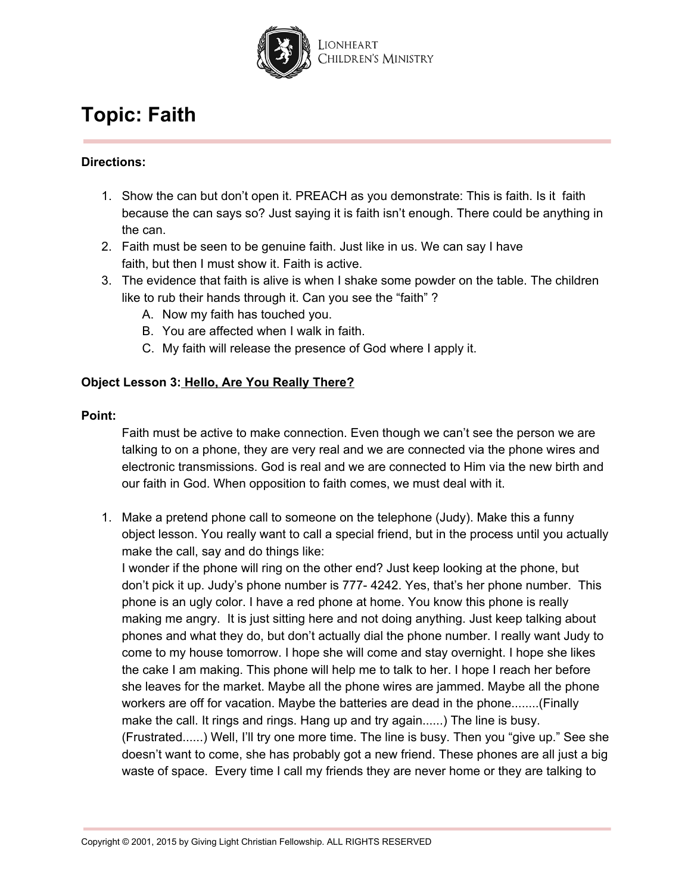

### **Directions:**

- 1. Show the can but don't open it. PREACH as you demonstrate: This is faith. Is it faith because the can says so? Just saying it is faith isn't enough. There could be anything in the can.
- 2. Faith must be seen to be genuine faith. Just like in us. We can say I have faith, but then I must show it. Faith is active.
- 3. The evidence that faith is alive is when I shake some powder on the table. The children like to rub their hands through it. Can you see the "faith" ?
	- A. Now my faith has touched you.
	- B. You are affected when I walk in faith.
	- C. My faith will release the presence of God where I apply it.

### **Object Lesson 3: Hello, Are You Really There?**

### **Point:**

Faith must be active to make connection. Even though we can't see the person we are talking to on a phone, they are very real and we are connected via the phone wires and electronic transmissions. God is real and we are connected to Him via the new birth and our faith in God. When opposition to faith comes, we must deal with it.

1. Make a pretend phone call to someone on the telephone (Judy). Make this a funny object lesson. You really want to call a special friend, but in the process until you actually make the call, say and do things like:

I wonder if the phone will ring on the other end? Just keep looking at the phone, but don't pick it up. Judy's phone number is 777- 4242. Yes, that's her phone number. This phone is an ugly color. I have a red phone at home. You know this phone is really making me angry. It is just sitting here and not doing anything. Just keep talking about phones and what they do, but don't actually dial the phone number. I really want Judy to come to my house tomorrow. I hope she will come and stay overnight. I hope she likes the cake I am making. This phone will help me to talk to her. I hope I reach her before she leaves for the market. Maybe all the phone wires are jammed. Maybe all the phone workers are off for vacation. Maybe the batteries are dead in the phone........(Finally make the call. It rings and rings. Hang up and try again......) The line is busy. (Frustrated......) Well, I'll try one more time. The line is busy. Then you "give up." See she doesn't want to come, she has probably got a new friend. These phones are all just a big waste of space. Every time I call my friends they are never home or they are talking to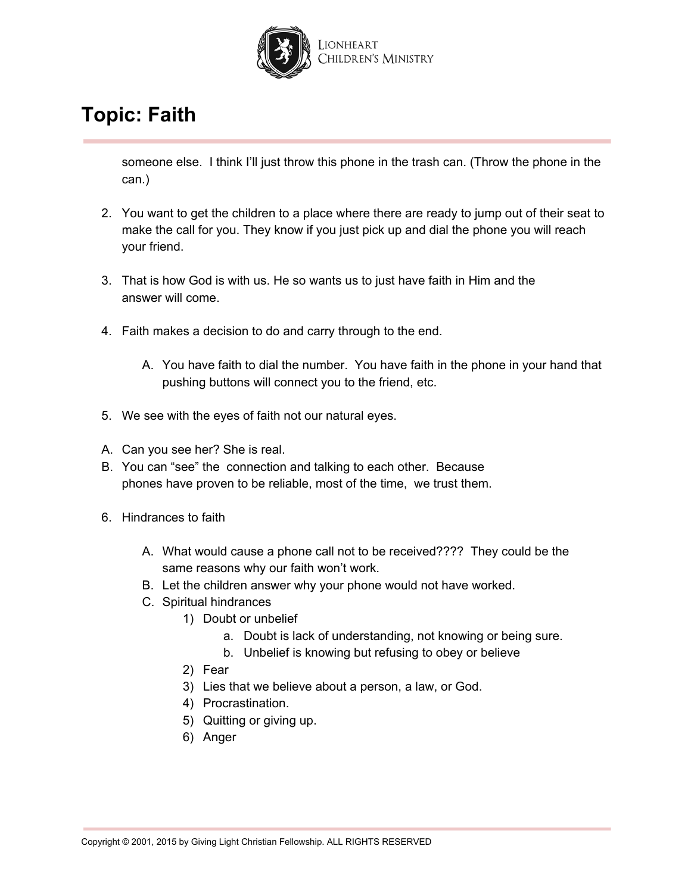

someone else. I think I'll just throw this phone in the trash can. (Throw the phone in the can.)

- 2. You want to get the children to a place where there are ready to jump out of their seat to make the call for you. They know if you just pick up and dial the phone you will reach your friend.
- 3. That is how God is with us. He so wants us to just have faith in Him and the answer will come.
- 4. Faith makes a decision to do and carry through to the end.
	- A. You have faith to dial the number. You have faith in the phone in your hand that pushing buttons will connect you to the friend, etc.
- 5. We see with the eyes of faith not our natural eyes.
- A. Can you see her? She is real.
- B. You can "see" the connection and talking to each other. Because phones have proven to be reliable, most of the time, we trust them.
- 6. Hindrances to faith
	- A. What would cause a phone call not to be received???? They could be the same reasons why our faith won't work.
	- B. Let the children answer why your phone would not have worked.
	- C. Spiritual hindrances
		- 1) Doubt or unbelief
			- a. Doubt is lack of understanding, not knowing or being sure.
			- b. Unbelief is knowing but refusing to obey or believe
		- 2) Fear
		- 3) Lies that we believe about a person, a law, or God.
		- 4) Procrastination.
		- 5) Quitting or giving up.
		- 6) Anger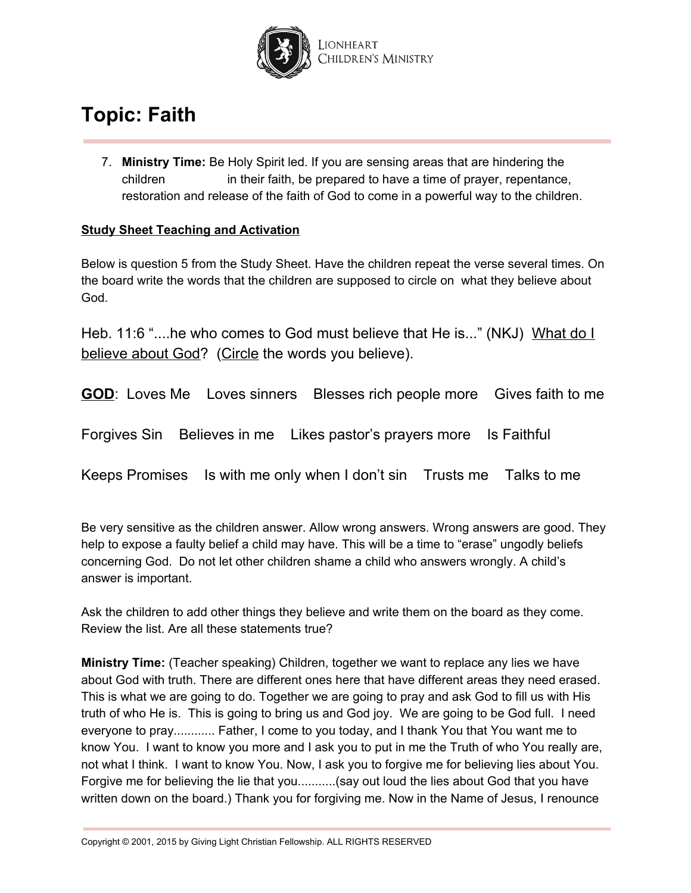

7. **Ministry Time:** Be Holy Spirit led. If you are sensing areas that are hindering the children in their faith, be prepared to have a time of prayer, repentance, restoration and release of the faith of God to come in a powerful way to the children.

### **Study Sheet Teaching and Activation**

Below is question 5 from the Study Sheet. Have the children repeat the verse several times. On the board write the words that the children are supposed to circle on what they believe about God.

Heb. 11:6 "....he who comes to God must believe that He is..." (NKJ) What do I believe about God? (Circle the words you believe).

**GOD**: Loves Me Loves sinners Blesses rich people more Gives faith to me

Forgives Sin Believes in me Likes pastor's prayers more Is Faithful

Keeps Promises Is with me only when I don't sin Trusts me Talks to me

Be very sensitive as the children answer. Allow wrong answers. Wrong answers are good. They help to expose a faulty belief a child may have. This will be a time to "erase" ungodly beliefs concerning God. Do not let other children shame a child who answers wrongly. A child's answer is important.

Ask the children to add other things they believe and write them on the board as they come. Review the list. Are all these statements true?

**Ministry Time:** (Teacher speaking) Children, together we want to replace any lies we have about God with truth. There are different ones here that have different areas they need erased. This is what we are going to do. Together we are going to pray and ask God to fill us with His truth of who He is. This is going to bring us and God joy. We are going to be God full. I need everyone to pray............ Father, I come to you today, and I thank You that You want me to know You. I want to know you more and I ask you to put in me the Truth of who You really are, not what I think. I want to know You. Now, I ask you to forgive me for believing lies about You. Forgive me for believing the lie that you...........(say out loud the lies about God that you have written down on the board.) Thank you for forgiving me. Now in the Name of Jesus, I renounce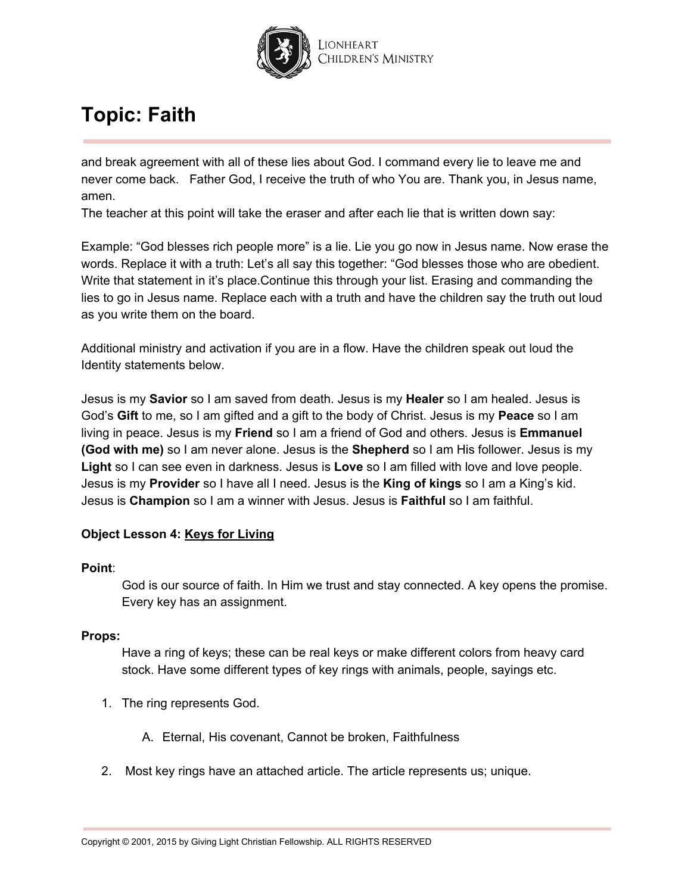

and break agreement with all of these lies about God. I command every lie to leave me and never come back. Father God, I receive the truth of who You are. Thank you, in Jesus name, amen.

The teacher at this point will take the eraser and after each lie that is written down say:

Example: "God blesses rich people more" is a lie. Lie you go now in Jesus name. Now erase the words. Replace it with a truth: Let's all say this together: "God blesses those who are obedient. Write that statement in it's place.Continue this through your list. Erasing and commanding the lies to go in Jesus name. Replace each with a truth and have the children say the truth out loud as you write them on the board.

Additional ministry and activation if you are in a flow. Have the children speak out loud the Identity statements below.

Jesus is my **Savior** so I am saved from death. Jesus is my **Healer** so I am healed. Jesus is God's **Gift** to me, so I am gifted and a gift to the body of Christ. Jesus is my **Peace** so I am living in peace. Jesus is my **Friend** so I am a friend of God and others. Jesus is **Emmanuel (God with me)** so I am never alone. Jesus is the **Shepherd** so I am His follower. Jesus is my **Light** so I can see even in darkness. Jesus is **Love** so I am filled with love and love people. Jesus is my **Provider** so I have all I need. Jesus is the **King of kings** so I am a King's kid. Jesus is **Champion** so I am a winner with Jesus. Jesus is **Faithful** so I am faithful.

#### **Object Lesson 4: Keys for Living**

#### **Point**:

God is our source of faith. In Him we trust and stay connected. A key opens the promise. Every key has an assignment.

#### **Props:**

Have a ring of keys; these can be real keys or make different colors from heavy card stock. Have some different types of key rings with animals, people, sayings etc.

- 1. The ring represents God.
	- A. Eternal, His covenant, Cannot be broken, Faithfulness
- 2. Most key rings have an attached article. The article represents us; unique.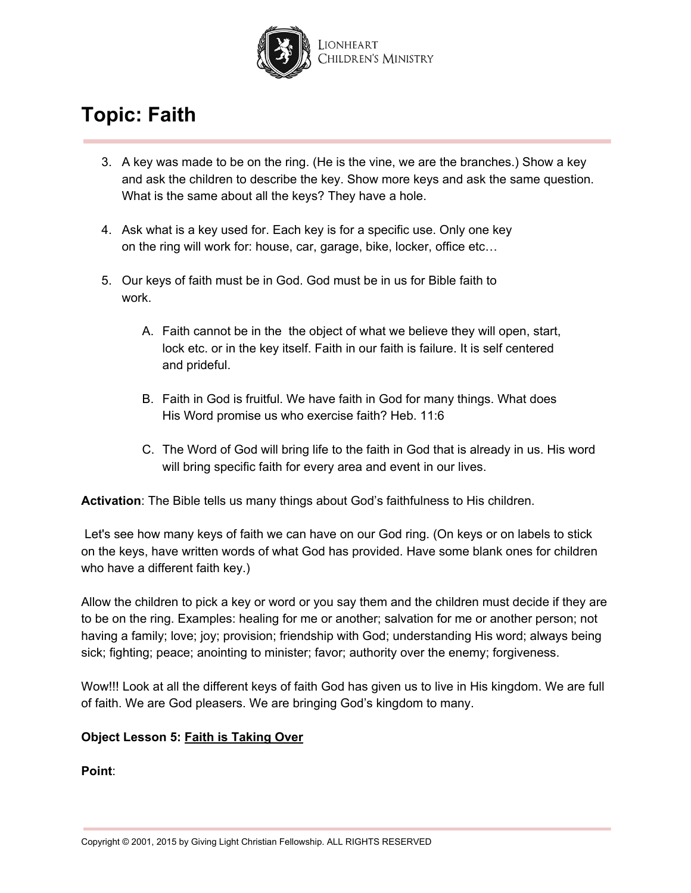

- 3. A key was made to be on the ring. (He is the vine, we are the branches.) Show a key and ask the children to describe the key. Show more keys and ask the same question. What is the same about all the keys? They have a hole.
- 4. Ask what is a key used for. Each key is for a specific use. Only one key on the ring will work for: house, car, garage, bike, locker, office etc…
- 5. Our keys of faith must be in God. God must be in us for Bible faith to work.
	- A. Faith cannot be in the the object of what we believe they will open, start, lock etc. or in the key itself. Faith in our faith is failure. It is self centered and prideful.
	- B. Faith in God is fruitful. We have faith in God for many things. What does His Word promise us who exercise faith? Heb. 11:6
	- C. The Word of God will bring life to the faith in God that is already in us. His word will bring specific faith for every area and event in our lives.

**Activation**: The Bible tells us many things about God's faithfulness to His children.

Let's see how many keys of faith we can have on our God ring. (On keys or on labels to stick on the keys, have written words of what God has provided. Have some blank ones for children who have a different faith key.)

Allow the children to pick a key or word or you say them and the children must decide if they are to be on the ring. Examples: healing for me or another; salvation for me or another person; not having a family; love; joy; provision; friendship with God; understanding His word; always being sick; fighting; peace; anointing to minister; favor; authority over the enemy; forgiveness.

Wow!!! Look at all the different keys of faith God has given us to live in His kingdom. We are full of faith. We are God pleasers. We are bringing God's kingdom to many.

### **Object Lesson 5: Faith is Taking Over**

**Point**: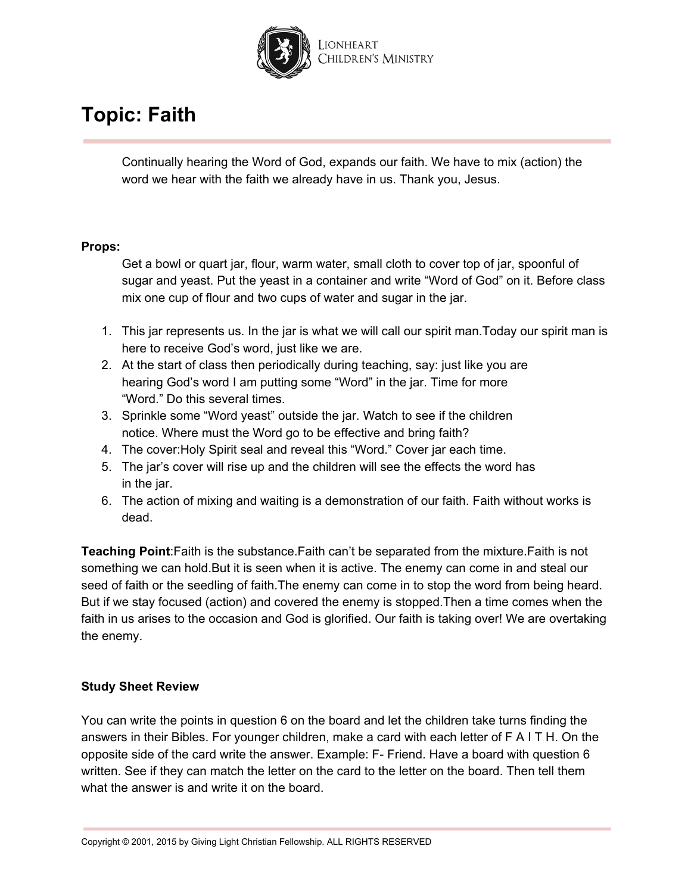

Continually hearing the Word of God, expands our faith. We have to mix (action) the word we hear with the faith we already have in us. Thank you, Jesus.

#### **Props:**

Get a bowl or quart jar, flour, warm water, small cloth to cover top of jar, spoonful of sugar and yeast. Put the yeast in a container and write "Word of God" on it. Before class mix one cup of flour and two cups of water and sugar in the jar.

- 1. This jar represents us. In the jar is what we will call our spirit man.Today our spirit man is here to receive God's word, just like we are.
- 2. At the start of class then periodically during teaching, say: just like you are hearing God's word I am putting some "Word" in the jar. Time for more "Word." Do this several times.
- 3. Sprinkle some "Word yeast" outside the jar. Watch to see if the children notice. Where must the Word go to be effective and bring faith?
- 4. The cover:Holy Spirit seal and reveal this "Word." Cover jar each time.
- 5. The jar's cover will rise up and the children will see the effects the word has in the jar.
- 6. The action of mixing and waiting is a demonstration of our faith. Faith without works is dead.

**Teaching Point**:Faith is the substance.Faith can't be separated from the mixture.Faith is not something we can hold.But it is seen when it is active. The enemy can come in and steal our seed of faith or the seedling of faith.The enemy can come in to stop the word from being heard. But if we stay focused (action) and covered the enemy is stopped.Then a time comes when the faith in us arises to the occasion and God is glorified. Our faith is taking over! We are overtaking the enemy.

#### **Study Sheet Review**

You can write the points in question 6 on the board and let the children take turns finding the answers in their Bibles. For younger children, make a card with each letter of F A I T H. On the opposite side of the card write the answer. Example: F- Friend. Have a board with question 6 written. See if they can match the letter on the card to the letter on the board. Then tell them what the answer is and write it on the board.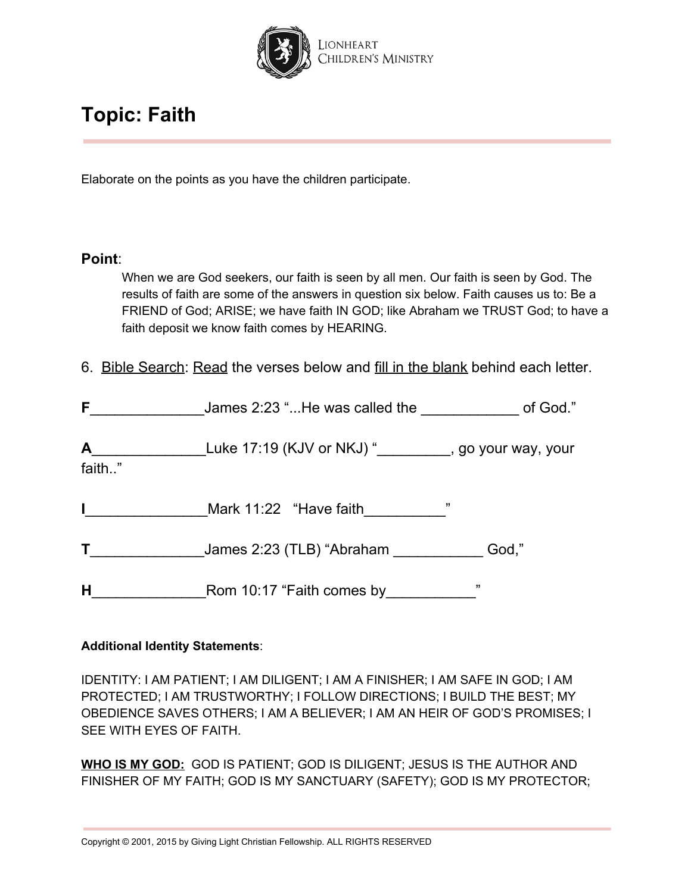

Elaborate on the points as you have the children participate.

### **Point**:

When we are God seekers, our faith is seen by all men. Our faith is seen by God. The results of faith are some of the answers in question six below. Faith causes us to: Be a FRIEND of God; ARISE; we have faith IN GOD; like Abraham we TRUST God; to have a faith deposit we know faith comes by HEARING.

6. Bible Search: Read the verses below and fill in the blank behind each letter.

| F.          | James 2:23 "He was called the                                                                                  | of God." |
|-------------|----------------------------------------------------------------------------------------------------------------|----------|
| A<br>faith" | Luke 17:19 (KJV or NKJ) " subset Luke 17:19 (KJV or NKJ) " subset Subset Subset Subset Subset Subset Subset Su |          |
| L           | ,,<br>Mark 11:22 "Have faith                                                                                   |          |
|             | James 2:23 (TLB) "Abraham                                                                                      | God,"    |
| H           | Rom 10:17 "Faith comes by                                                                                      | "        |

### **Additional Identity Statements**:

IDENTITY: I AM PATIENT; I AM DILIGENT; I AM A FINISHER; I AM SAFE IN GOD; I AM PROTECTED; I AM TRUSTWORTHY; I FOLLOW DIRECTIONS; I BUILD THE BEST; MY OBEDIENCE SAVES OTHERS; I AM A BELIEVER; I AM AN HEIR OF GOD'S PROMISES; I SEE WITH EYES OF FAITH.

**WHO IS MY GOD:** GOD IS PATIENT; GOD IS DILIGENT; JESUS IS THE AUTHOR AND FINISHER OF MY FAITH; GOD IS MY SANCTUARY (SAFETY); GOD IS MY PROTECTOR;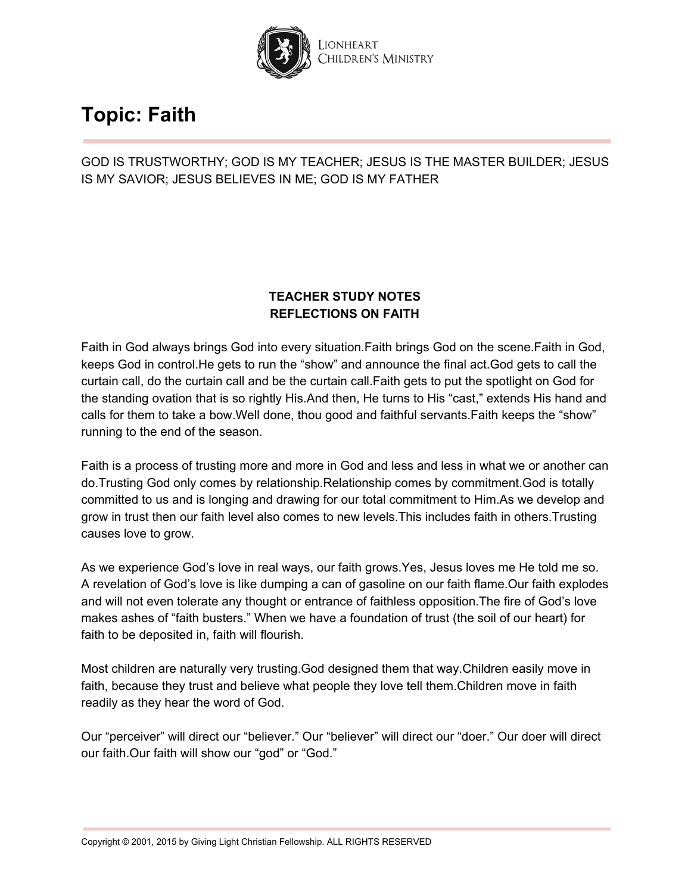

GOD IS TRUSTWORTHY; GOD IS MY TEACHER; JESUS IS THE MASTER BUILDER; JESUS IS MY SAVIOR; JESUS BELIEVES IN ME; GOD IS MY FATHER

### **TEACHER STUDY NOTES REFLECTIONS ON FAITH**

Faith in God always brings God into every situation.Faith brings God on the scene.Faith in God, keeps God in control.He gets to run the "show" and announce the final act.God gets to call the curtain call, do the curtain call and be the curtain call.Faith gets to put the spotlight on God for the standing ovation that is so rightly His.And then, He turns to His "cast," extends His hand and calls for them to take a bow.Well done, thou good and faithful servants.Faith keeps the "show" running to the end of the season.

Faith is a process of trusting more and more in God and less and less in what we or another can do.Trusting God only comes by relationship.Relationship comes by commitment.God is totally committed to us and is longing and drawing for our total commitment to Him.As we develop and grow in trust then our faith level also comes to new levels.This includes faith in others.Trusting causes love to grow.

As we experience God's love in real ways, our faith grows.Yes, Jesus loves me He told me so. A revelation of God's love is like dumping a can of gasoline on our faith flame.Our faith explodes and will not even tolerate any thought or entrance of faithless opposition.The fire of God's love makes ashes of "faith busters." When we have a foundation of trust (the soil of our heart) for faith to be deposited in, faith will flourish.

Most children are naturally very trusting.God designed them that way.Children easily move in faith, because they trust and believe what people they love tell them.Children move in faith readily as they hear the word of God.

Our "perceiver" will direct our "believer." Our "believer" will direct our "doer." Our doer will direct our faith.Our faith will show our "god" or "God."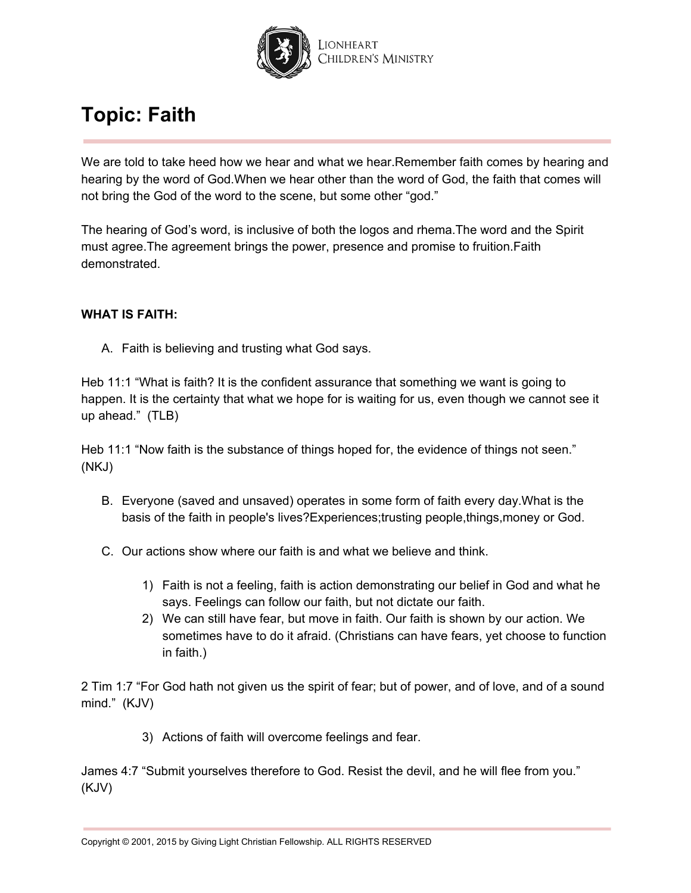

We are told to take heed how we hear and what we hear. Remember faith comes by hearing and hearing by the word of God.When we hear other than the word of God, the faith that comes will not bring the God of the word to the scene, but some other "god."

The hearing of God's word, is inclusive of both the logos and rhema.The word and the Spirit must agree.The agreement brings the power, presence and promise to fruition.Faith demonstrated.

### **WHAT IS FAITH:**

A. Faith is believing and trusting what God says.

Heb 11:1 "What is faith? It is the confident assurance that something we want is going to happen. It is the certainty that what we hope for is waiting for us, even though we cannot see it up ahead." (TLB)

Heb 11:1 "Now faith is the substance of things hoped for, the evidence of things not seen." (NKJ)

- B. Everyone (saved and unsaved) operates in some form of faith every day.What is the basis of the faith in people's lives?Experiences;trusting people,things,money or God.
- C. Our actions show where our faith is and what we believe and think.
	- 1) Faith is not a feeling, faith is action demonstrating our belief in God and what he says. Feelings can follow our faith, but not dictate our faith.
	- 2) We can still have fear, but move in faith. Our faith is shown by our action. We sometimes have to do it afraid. (Christians can have fears, yet choose to function in faith.)

2 Tim 1:7 "For God hath not given us the spirit of fear; but of power, and of love, and of a sound mind." (KJV)

3) Actions of faith will overcome feelings and fear.

James 4:7 "Submit yourselves therefore to God. Resist the devil, and he will flee from you." (KJV)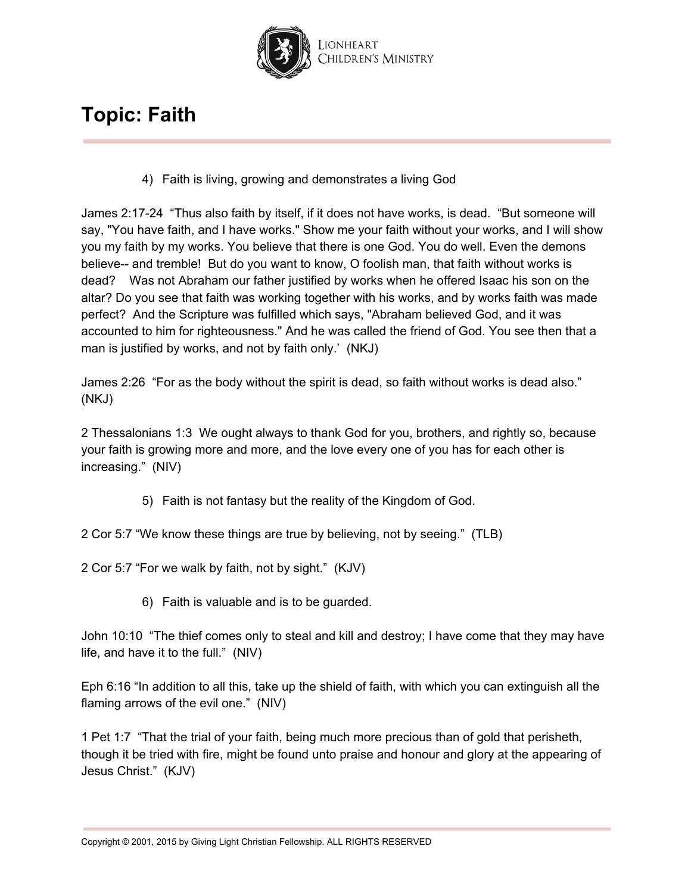

4) Faith is living, growing and demonstrates a living God

James 2:17-24 "Thus also faith by itself, if it does not have works, is dead. "But someone will say, "You have faith, and I have works." Show me your faith without your works, and I will show you my faith by my works. You believe that there is one God. You do well. Even the demons believe-- and tremble! But do you want to know, O foolish man, that faith without works is dead? Was not Abraham our father justified by works when he offered Isaac his son on the altar? Do you see that faith was working together with his works, and by works faith was made perfect? And the Scripture was fulfilled which says, "Abraham believed God, and it was accounted to him for righteousness." And he was called the friend of God. You see then that a man is justified by works, and not by faith only.' (NKJ)

James 2:26 "For as the body without the spirit is dead, so faith without works is dead also." (NKJ)

2 Thessalonians 1:3 We ought always to thank God for you, brothers, and rightly so, because your faith is growing more and more, and the love every one of you has for each other is increasing." (NIV)

- 5) Faith is not fantasy but the reality of the Kingdom of God.
- 2 Cor 5:7 "We know these things are true by believing, not by seeing." (TLB)

2 Cor 5:7 "For we walk by faith, not by sight." (KJV)

6) Faith is valuable and is to be guarded.

John 10:10 "The thief comes only to steal and kill and destroy; I have come that they may have life, and have it to the full." (NIV)

Eph 6:16 "In addition to all this, take up the shield of faith, with which you can extinguish all the flaming arrows of the evil one." (NIV)

1 Pet 1:7 "That the trial of your faith, being much more precious than of gold that perisheth, though it be tried with fire, might be found unto praise and honour and glory at the appearing of Jesus Christ." (KJV)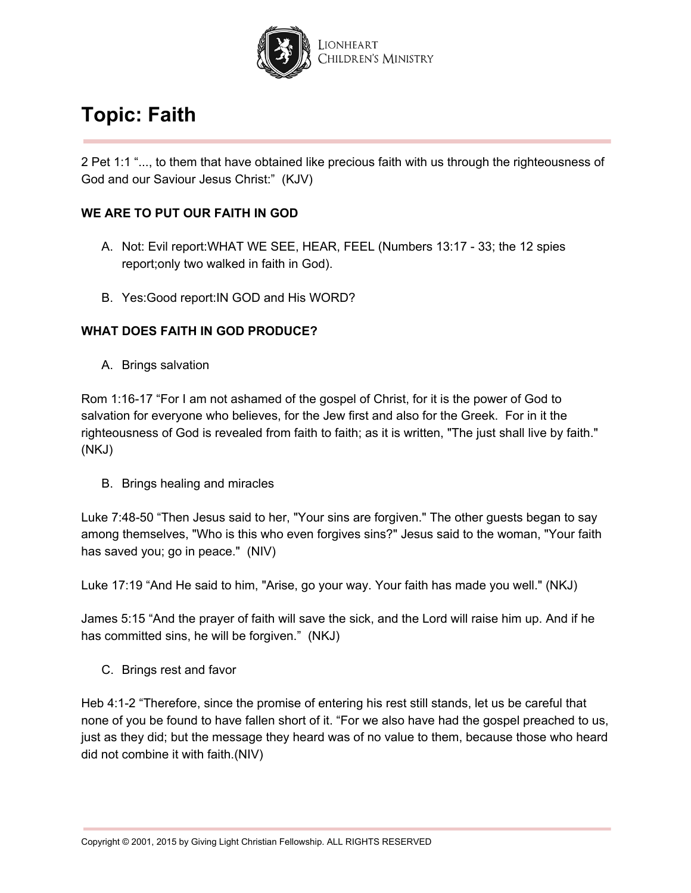

2 Pet 1:1 "..., to them that have obtained like precious faith with us through the righteousness of God and our Saviour Jesus Christ:" (KJV)

### **WE ARE TO PUT OUR FAITH IN GOD**

- A. Not: Evil report:WHAT WE SEE, HEAR, FEEL (Numbers 13:17 33; the 12 spies report;only two walked in faith in God).
- B. Yes:Good report:IN GOD and His WORD?

### **WHAT DOES FAITH IN GOD PRODUCE?**

A. Brings salvation

Rom 1:16-17 "For I am not ashamed of the gospel of Christ, for it is the power of God to salvation for everyone who believes, for the Jew first and also for the Greek. For in it the righteousness of God is revealed from faith to faith; as it is written, "The just shall live by faith." (NKJ)

B. Brings healing and miracles

Luke 7:48-50 "Then Jesus said to her, "Your sins are forgiven." The other guests began to say among themselves, "Who is this who even forgives sins?" Jesus said to the woman, "Your faith has saved you; go in peace." (NIV)

Luke 17:19 "And He said to him, "Arise, go your way. Your faith has made you well." (NKJ)

James 5:15 "And the prayer of faith will save the sick, and the Lord will raise him up. And if he has committed sins, he will be forgiven." (NKJ)

C. Brings rest and favor

Heb 4:1-2 "Therefore, since the promise of entering his rest still stands, let us be careful that none of you be found to have fallen short of it. "For we also have had the gospel preached to us, just as they did; but the message they heard was of no value to them, because those who heard did not combine it with faith.(NIV)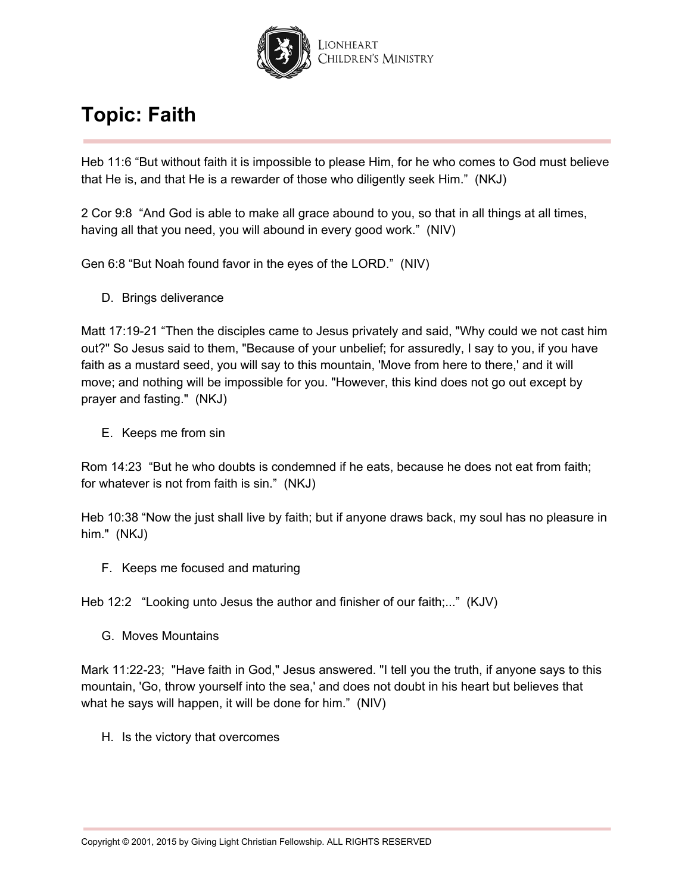

Heb 11:6 "But without faith it is impossible to please Him, for he who comes to God must believe that He is, and that He is a rewarder of those who diligently seek Him." (NKJ)

2 Cor 9:8 "And God is able to make all grace abound to you, so that in all things at all times, having all that you need, you will abound in every good work." (NIV)

Gen 6:8 "But Noah found favor in the eyes of the LORD." (NIV)

D. Brings deliverance

Matt 17:19-21 "Then the disciples came to Jesus privately and said, "Why could we not cast him out?" So Jesus said to them, "Because of your unbelief; for assuredly, I say to you, if you have faith as a mustard seed, you will say to this mountain, 'Move from here to there,' and it will move; and nothing will be impossible for you. "However, this kind does not go out except by prayer and fasting." (NKJ)

E. Keeps me from sin

Rom 14:23 "But he who doubts is condemned if he eats, because he does not eat from faith; for whatever is not from faith is sin." (NKJ)

Heb 10:38 "Now the just shall live by faith; but if anyone draws back, my soul has no pleasure in him." (NKJ)

F. Keeps me focused and maturing

Heb 12:2 "Looking unto Jesus the author and finisher of our faith;..." (KJV)

G. Moves Mountains

Mark 11:22-23; "Have faith in God," Jesus answered. "I tell you the truth, if anyone says to this mountain, 'Go, throw yourself into the sea,' and does not doubt in his heart but believes that what he says will happen, it will be done for him." (NIV)

H. Is the victory that overcomes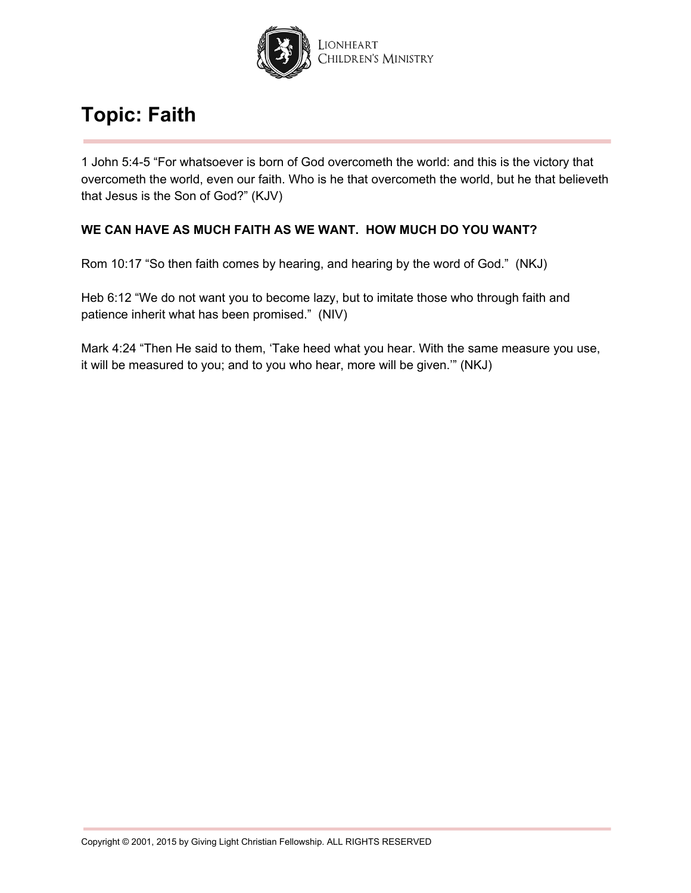

1 John 5:4-5 "For whatsoever is born of God overcometh the world: and this is the victory that overcometh the world, even our faith. Who is he that overcometh the world, but he that believeth that Jesus is the Son of God?" (KJV)

### **WE CAN HAVE AS MUCH FAITH AS WE WANT. HOW MUCH DO YOU WANT?**

Rom 10:17 "So then faith comes by hearing, and hearing by the word of God." (NKJ)

Heb 6:12 "We do not want you to become lazy, but to imitate those who through faith and patience inherit what has been promised." (NIV)

Mark 4:24 "Then He said to them, 'Take heed what you hear. With the same measure you use, it will be measured to you; and to you who hear, more will be given.'" (NKJ)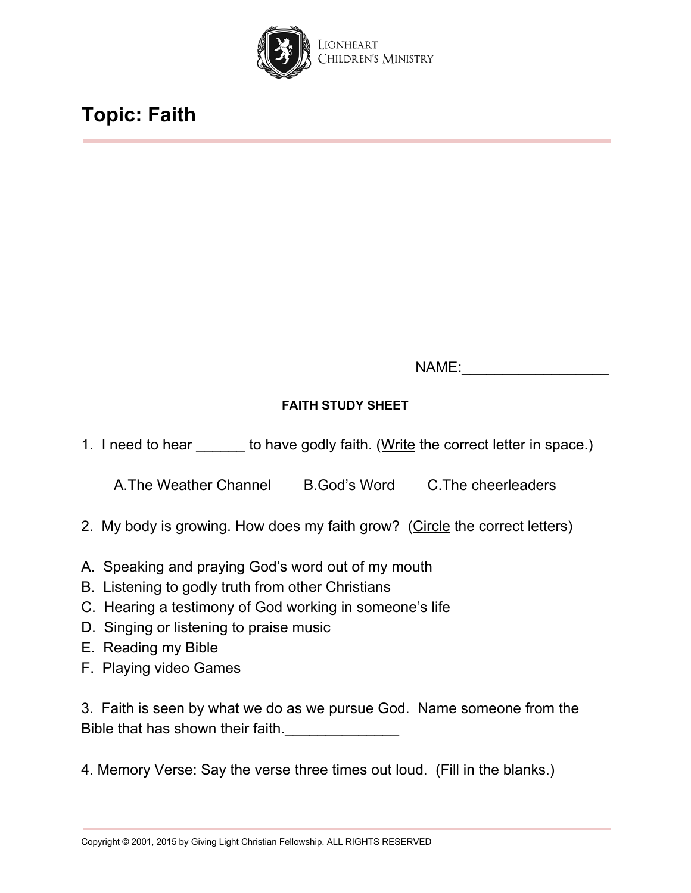

NAME:

### **FAITH STUDY SHEET**

1. I need to hear \_\_\_\_\_\_\_ to have godly faith. (Write the correct letter in space.)

A.The Weather Channel B.God's Word C.The cheerleaders

- 2. My body is growing. How does my faith grow? (Circle the correct letters)
- A. Speaking and praying God's word out of my mouth
- B. Listening to godly truth from other Christians
- C. Hearing a testimony of God working in someone's life
- D. Singing or listening to praise music
- E. Reading my Bible
- F. Playing video Games

3. Faith is seen by what we do as we pursue God. Name someone from the Bible that has shown their faith.

4. Memory Verse: Say the verse three times out loud. (Fill in the blanks.)